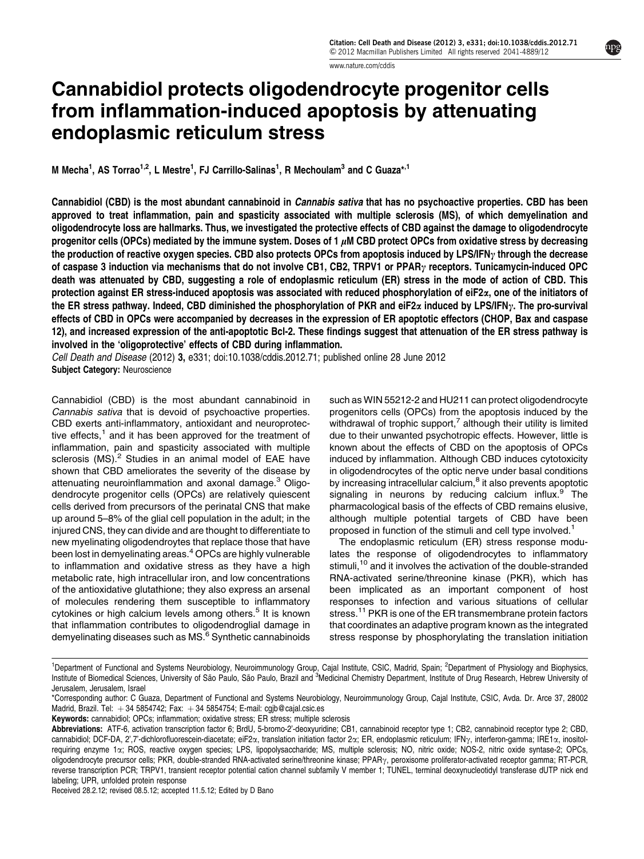www.nature.com/cddis

# Cannabidiol protects oligodendrocyte progenitor cells from inflammation-induced apoptosis by attenuating endoplasmic reticulum stress

M Mecha<sup>1</sup>, AS Torrao<sup>1,2</sup>, L Mestre<sup>1</sup>, FJ Carrillo-Salinas<sup>1</sup>, R Mechoulam<sup>3</sup> and C Guaza\*<sup>,1</sup>

Cannabidiol (CBD) is the most abundant cannabinoid in Cannabis sativa that has no psychoactive properties. CBD has been approved to treat inflammation, pain and spasticity associated with multiple sclerosis (MS), of which demyelination and oligodendrocyte loss are hallmarks. Thus, we investigated the protective effects of CBD against the damage to oligodendrocyte progenitor cells (OPCs) mediated by the immune system. Doses of 1  $\mu$ M CBD protect OPCs from oxidative stress by decreasing the production of reactive oxygen species. CBD also protects OPCs from apoptosis induced by LPS/IFN<sub>2</sub> through the decrease of caspase 3 induction via mechanisms that do not involve CB1, CB2, TRPV1 or PPAR $\gamma$  receptors. Tunicamycin-induced OPC death was attenuated by CBD, suggesting a role of endoplasmic reticulum (ER) stress in the mode of action of CBD. This protection against ER stress-induced apoptosis was associated with reduced phosphorylation of eiF2x, one of the initiators of the ER stress pathway. Indeed, CBD diminished the phosphorylation of PKR and eiF2 $\alpha$  induced by LPS/IFN<sub>Y</sub>. The pro-survival effects of CBD in OPCs were accompanied by decreases in the expression of ER apoptotic effectors (CHOP, Bax and caspase 12), and increased expression of the anti-apoptotic Bcl-2. These findings suggest that attenuation of the ER stress pathway is involved in the 'oligoprotective' effects of CBD during inflammation.

Cell Death and Disease (2012) 3, e331; doi:10.1038/cddis.2012.71; published online 28 June 2012 Subject Category: Neuroscience

Cannabidiol (CBD) is the most abundant cannabinoid in Cannabis sativa that is devoid of psychoactive properties. CBD exerts anti-inflammatory, antioxidant and neuroprotective effects,<sup>1</sup> and it has been approved for the treatment of inflammation, pain and spasticity associated with multiple sclerosis  $(MS)$ .<sup>2</sup> Studies in an animal model of EAE have shown that CBD ameliorates the severity of the disease by attenuating neuroinflammation and axonal damage.<sup>3</sup> Oligodendrocyte progenitor cells (OPCs) are relatively quiescent cells derived from precursors of the perinatal CNS that make up around 5–8% of the glial cell population in the adult; in the injured CNS, they can divide and are thought to differentiate to new myelinating oligodendroytes that replace those that have been lost in demyelinating areas.<sup>4</sup> OPCs are highly vulnerable to inflammation and oxidative stress as they have a high metabolic rate, high intracellular iron, and low concentrations of the antioxidative glutathione; they also express an arsenal of molecules rendering them susceptible to inflammatory cytokines or high calcium levels among others.<sup>5</sup> It is known that inflammation contributes to oligodendroglial damage in demyelinating diseases such as MS.<sup>6</sup> Synthetic cannabinoids such as WIN 55212-2 and HU211 can protect oligodendrocyte progenitors cells (OPCs) from the apoptosis induced by the withdrawal of trophic support,<sup>7</sup> although their utility is limited due to their unwanted psychotropic effects. However, little is known about the effects of CBD on the apoptosis of OPCs induced by inflammation. Although CBD induces cytotoxicity in oligodendrocytes of the optic nerve under basal conditions by increasing intracellular calcium,<sup>8</sup> it also prevents apoptotic signaling in neurons by reducing calcium influx.<sup>9</sup> The pharmacological basis of the effects of CBD remains elusive, although multiple potential targets of CBD have been proposed in function of the stimuli and cell type involved.<sup>1</sup>

The endoplasmic reticulum (ER) stress response modulates the response of oligodendrocytes to inflammatory stimuli,<sup>10</sup> and it involves the activation of the double-stranded RNA-activated serine/threonine kinase (PKR), which has been implicated as an important component of host responses to infection and various situations of cellular stress.<sup>11</sup> PKR is one of the ER transmembrane protein factors that coordinates an adaptive program known as the integrated stress response by phosphorylating the translation initiation

Received 28.2.12; revised 08.5.12; accepted 11.5.12; Edited by D Bano

<sup>&</sup>lt;sup>1</sup>Department of Functional and Systems Neurobiology, Neuroimmunology Group, Cajal Institute, CSIC, Madrid, Spain; <sup>2</sup>Department of Physiology and Biophysics, Institute of Biomedical Sciences, University of São Paulo, São Paulo, Brazil and <sup>3</sup>Medicinal Chemistry Department, Institute of Drug Research, Hebrew University of Jerusalem, Jerusalem, Israel

<sup>\*</sup>Corresponding author: C Guaza, Department of Functional and Systems Neurobiology, Neuroimmunology Group, Cajal Institute, CSIC, Avda. Dr. Arce 37, 28002 Madrid, Brazil. Tel:  $+34$  5854742; Fax:  $+34$  5854754; E-mail: cgjb@cajal.csic.es

Keywords: cannabidiol; OPCs; inflammation; oxidative stress; ER stress; multiple sclerosis

Abbreviations: ATF-6, activation transcription factor 6; BrdU, 5-bromo-2'-deoxyuridine; CB1, cannabinoid receptor type 1; CB2, cannabinoid receptor type 2; CBD, cannabidiol; DCF-DA, 2',7'-dichlorofluorescein-diacetate; eiF2 $\alpha$ , translation initiation factor 2 $\alpha$ ; ER, endoplasmic reticulum; IFN $\gamma$ , interferon-gamma; IRE1 $\alpha$ , inositolrequiring enzyme 1a; ROS, reactive oxygen species; LPS, lipopolysaccharide; MS, multiple sclerosis; NO, nitric oxide; NOS-2, nitric oxide syntase-2; OPCs, oligodendrocyte precursor cells; PKR, double-stranded RNA-activated serine/threonine kinase; PPAR<sub>Y</sub>, peroxisome proliferator-activated receptor gamma; RT-PCR, reverse transcription PCR; TRPV1, transient receptor potential cation channel subfamily V member 1; TUNEL, terminal deoxynucleotidyl transferase dUTP nick end labeling; UPR, unfolded protein response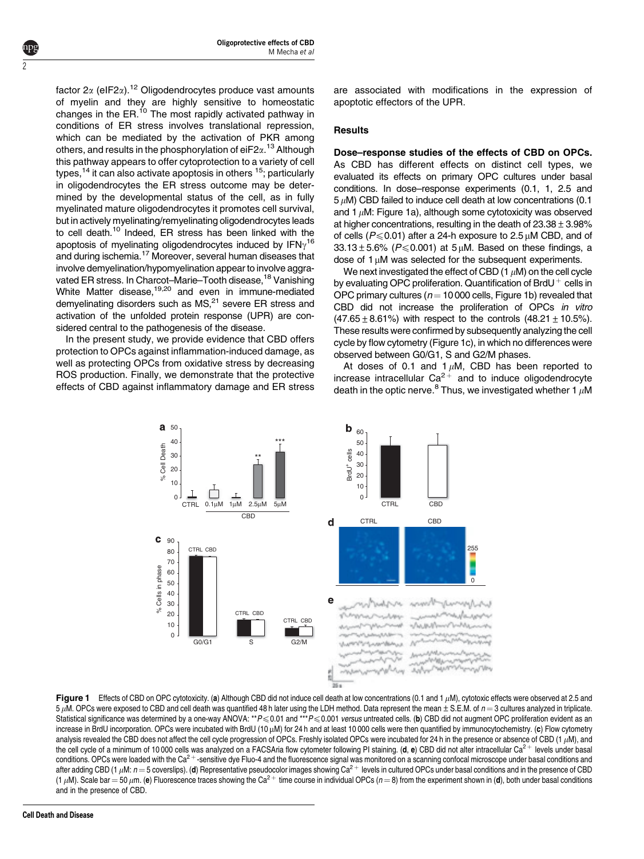factor  $2\alpha$  (eIF2 $\alpha$ ).<sup>12</sup> Oligodendrocytes produce vast amounts of myelin and they are highly sensitive to homeostatic changes in the ER.<sup>10</sup> The most rapidly activated pathway in conditions of ER stress involves translational repression, which can be mediated by the activation of PKR among others, and results in the phosphorylation of ei $\mathsf{F}2\alpha$ .  $^{13}$  Although this pathway appears to offer cytoprotection to a variety of cell types,  $14$  it can also activate apoptosis in others  $15$ ; particularly in oligodendrocytes the ER stress outcome may be determined by the developmental status of the cell, as in fully myelinated mature oligodendrocytes it promotes cell survival, but in actively myelinating/remyelinating oligodendrocytes leads to cell death.<sup>10</sup> Indeed, ER stress has been linked with the apoptosis of myelinating oligodendrocytes induced by IFN $\gamma^{16}$ and during ischemia.<sup>17</sup> Moreover, several human diseases that involve demyelination/hypomyelination appear to involve aggravated ER stress. In Charcot-Marie-Tooth disease,<sup>18</sup> Vanishing White Matter disease,<sup>19,20</sup> and even in immune-mediated demyelinating disorders such as MS,<sup>21</sup> severe ER stress and activation of the unfolded protein response (UPR) are considered central to the pathogenesis of the disease.

In the present study, we provide evidence that CBD offers protection to OPCs against inflammation-induced damage, as well as protecting OPCs from oxidative stress by decreasing ROS production. Finally, we demonstrate that the protective effects of CBD against inflammatory damage and ER stress are associated with modifications in the expression of apoptotic effectors of the UPR.

# **Results**

Dose–response studies of the effects of CBD on OPCs. As CBD has different effects on distinct cell types, we evaluated its effects on primary OPC cultures under basal conditions. In dose–response experiments (0.1, 1, 2.5 and  $5 \mu$ M) CBD failed to induce cell death at low concentrations (0.1) and 1  $\mu$ M: Figure 1a), although some cytotoxicity was observed at higher concentrations, resulting in the death of  $23.38 \pm 3.98\%$ of cells ( $P \le 0.01$ ) after a 24-h exposure to 2.5  $\mu$ M CBD, and of  $33.13 \pm 5.6\%$  (P  $\leq$  0.001) at 5  $\mu$ M. Based on these findings, a dose of  $1 \mu$ M was selected for the subsequent experiments.

We next investigated the effect of CBD  $(1 \mu M)$  on the cell cycle by evaluating OPC proliferation. Quantification of BrdU $^+$  cells in OPC primary cultures ( $n = 10000$  cells, Figure 1b) revealed that CBD did not increase the proliferation of OPCs in vitro  $(47.65 \pm 8.61\%)$  with respect to the controls  $(48.21 \pm 10.5\%)$ . These results were confirmed by subsequently analyzing the cell cycle by flow cytometry (Figure 1c), in which no differences were observed between G0/G1, S and G2/M phases.

At doses of 0.1 and 1 $\mu$ M, CBD has been reported to increase intracellular  $Ca^{2+}$  and to induce oligodendrocyte death in the optic nerve.<sup>8</sup> Thus, we investigated whether 1  $\mu$ M





 $\overline{\mathcal{L}}$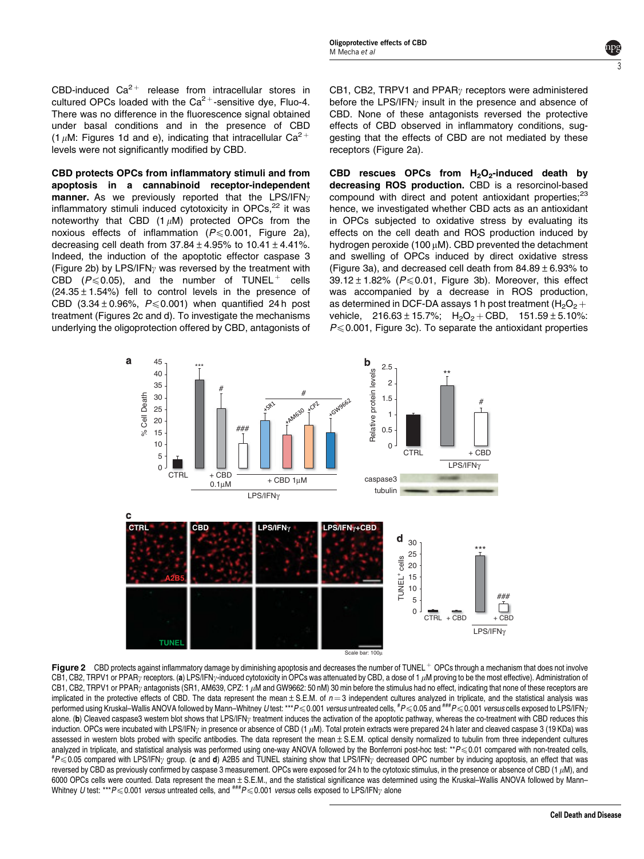CBD-induced  $Ca^{2+}$  release from intracellular stores in cultured OPCs loaded with the  $Ca^{2+}$ -sensitive dye, Fluo-4. There was no difference in the fluorescence signal obtained under basal conditions and in the presence of CBD (1  $\mu$ M: Figures 1d and e), indicating that intracellular Ca<sup>2+</sup> levels were not significantly modified by CBD.

CBD protects OPCs from inflammatory stimuli and from apoptosis in a cannabinoid receptor-independent **manner.** As we previously reported that the LPS/IFN<sub> $\gamma$ </sub> inflammatory stimuli induced cytotoxicity in OPCs.<sup>22</sup> it was noteworthy that CBD  $(1 \mu M)$  protected OPCs from the noxious effects of inflammation ( $P \le 0.001$ , Figure 2a), decreasing cell death from  $37.84 \pm 4.95\%$  to  $10.41 \pm 4.41\%$ . Indeed, the induction of the apoptotic effector caspase 3 (Figure 2b) by LPS/IFN<sub> $\gamma$ </sub> was reversed by the treatment with CBD ( $P \le 0.05$ ), and the number of TUNEL  $^+$  cells  $(24.35 \pm 1.54\%)$  fell to control levels in the presence of CBD (3.34  $\pm$  0.96%,  $P \le 0.001$ ) when quantified 24 h post treatment (Figures 2c and d). To investigate the mechanisms underlying the oligoprotection offered by CBD, antagonists of

CB1, CB2, TRPV1 and PPAR $\gamma$  receptors were administered before the LPS/IFN<sub> $\gamma$ </sub> insult in the presence and absence of CBD. None of these antagonists reversed the protective effects of CBD observed in inflammatory conditions, suggesting that the effects of CBD are not mediated by these receptors (Figure 2a).

CBD rescues OPCs from  $H_2O_2$ -induced death by decreasing ROS production. CBD is a resorcinol-based compound with direct and potent antioxidant properties;<sup>23</sup> hence, we investigated whether CBD acts as an antioxidant in OPCs subjected to oxidative stress by evaluating its effects on the cell death and ROS production induced by hydrogen peroxide (100  $\mu$ M). CBD prevented the detachment and swelling of OPCs induced by direct oxidative stress (Figure 3a), and decreased cell death from  $84.89 \pm 6.93\%$  to  $39.12 \pm 1.82\%$  ( $P \le 0.01$ , Figure 3b). Moreover, this effect was accompanied by a decrease in ROS production, as determined in DCF-DA assays 1 h post treatment  $(H_2O_2 +$ vehicle,  $216.63 \pm 15.7\%$ ;  $H_2O_2 + CBD$ ,  $151.59 \pm 5.10\%$ :  $P \le 0.001$ , Figure 3c). To separate the antioxidant properties



Figure 2 CBD protects against inflammatory damage by diminishing apoptosis and decreases the number of TUNEL<sup>+</sup> OPCs through a mechanism that does not involve CB1, CB2, TRPV1 or PPAR $\gamma$  receptors. (a) LPS/IFN $\gamma$ -induced cytotoxicity in OPCs was attenuated by CBD, a dose of 1  $\mu$ M proving to be the most effective). Administration of CB1, CB2, TRPV1 or PPARy antagonists (SR1, AM639, CPZ: 1 µM and GW9662: 50 nM) 30 min before the stimulus had no effect, indicating that none of these receptors are implicated in the protective effects of CBD. The data represent the mean  $\pm$  S.E.M. of  $n=3$  independent cultures analyzed in triplicate, and the statistical analysis was performed using Kruskal–Wallis ANOVA followed by Mann–Whitney *U* test: \*\*\* $P$ ≤ 0.001 *versus* untreated cells, <sup>#</sup> $P$ ≤ 0.05 and <sup>###</sup> $P$ ≤ 0.001 *versus* cells exposed to LPS/IFN<sub>?</sub> alone. (b) Cleaved caspase3 western blot shows that LPS/IFN<sub>V</sub> treatment induces the activation of the apoptotic pathway, whereas the co-treatment with CBD reduces this induction. OPCs were incubated with LPS/IFN<sub>Y</sub> in presence or absence of CBD (1  $\mu$ M). Total protein extracts were prepared 24 h later and cleaved caspase 3 (19 KDa) was assessed in western blots probed with specific antibodies. The data represent the mean  $\pm$  S.E.M. optical density normalized to tubulin from three independent cultures analyzed in triplicate, and statistical analysis was performed using one-way ANOVA followed by the Bonferroni post-hoc test: \*\* $P \le 0.01$  compared with non-treated cells,  $\textit{fP}\leqslant0.05$  compared with LPS/IFN<sub>y</sub> group. (c and d) A2B5 and TUNEL staining show that LPS/IFN<sub>Y</sub> decreased OPC number by inducing apoptosis, an effect that was reversed by CBD as previously confirmed by caspase 3 measurement. OPCs were exposed for 24 h to the cytotoxic stimulus, in the presence or absence of CBD (1 $\mu$ M), and 6000 OPCs cells were counted. Data represent the mean±S.E.M., and the statistical significance was determined using the Kruskal–Wallis ANOVA followed by Mann– Whitney U test: \*\*\*P $\leq 0.001$  versus untreated cells, and  $^{***}P \leq 0.001$  versus cells exposed to LPS/IFN<sub>y</sub> alone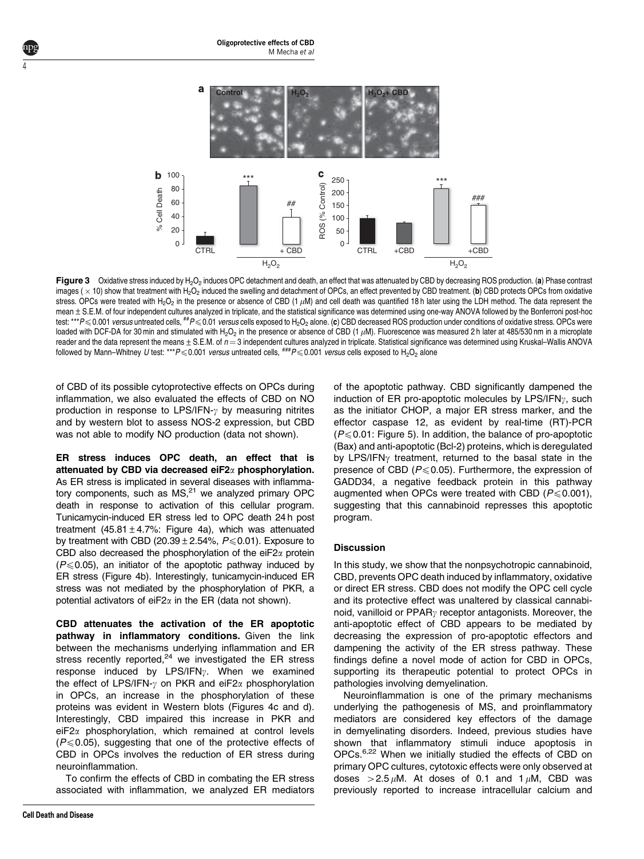

Figure 3 Oxidative stress induced by H<sub>2</sub>O<sub>2</sub> induces OPC detachment and death, an effect that was attenuated by CBD by decreasing ROS production. (a) Phase contrast images (  $\times$  10) show that treatment with H<sub>2</sub>O<sub>2</sub> induced the swelling and detachment of OPCs, an effect prevented by CBD treatment. (b) CBD protects OPCs from oxidative stress. OPCs were treated with H<sub>2</sub>O<sub>2</sub> in the presence or absence of CBD (1  $\mu$ M) and cell death was quantified 18 h later using the LDH method. The data represent the mean  $\pm$  S.E.M. of four independent cultures analyzed in triplicate, and the statistical significance was determined using one-way ANOVA followed by the Bonferroni post-hoc test: \*\*\*P $\leq 0.001$  versus untreated cells,  $^{**}P \leq 0.01$  versus cells exposed to H<sub>2</sub>O<sub>2</sub> alone. (c) CBD decreased ROS production under conditions of oxidative stress. OPCs were loaded with DCF-DA for 30 min and stimulated with H<sub>2</sub>O<sub>2</sub> in the presence or absence of CBD (1  $\mu$ M). Fluorescence was measured 2 h later at 485/530 nm in a microplate reader and the data represent the means  $\pm$  S.E.M. of  $n = 3$  independent cultures analyzed in triplicate. Statistical significance was determined using Kruskal–Wallis ANOVA followed by Mann–Whitney U test: \*\*\*P $\leq 0.001$  versus untreated cells,  $^{***P}\leq 0.001$  versus cells exposed to H<sub>2</sub>O<sub>2</sub> alone

of CBD of its possible cytoprotective effects on OPCs during inflammation, we also evaluated the effects of CBD on NO production in response to LPS/IFN- $\gamma$  by measuring nitrites and by western blot to assess NOS-2 expression, but CBD was not able to modify NO production (data not shown).

ER stress induces OPC death, an effect that is attenuated by CBD via decreased ei $F2\alpha$  phosphorylation. As ER stress is implicated in several diseases with inflammatory components, such as  $MS<sub>1</sub><sup>21</sup>$  we analyzed primary OPC death in response to activation of this cellular program. Tunicamycin-induced ER stress led to OPC death 24 h post treatment (45.81 $\pm$ 4.7%: Figure 4a), which was attenuated by treatment with CBD (20.39  $\pm$  2.54%,  $P \le 0.01$ ). Exposure to CBD also decreased the phosphorylation of the eiF2 $\alpha$  protein  $(P \le 0.05)$ , an initiator of the apoptotic pathway induced by ER stress (Figure 4b). Interestingly, tunicamycin-induced ER stress was not mediated by the phosphorylation of PKR, a potential activators of ei $F2\alpha$  in the ER (data not shown).

CBD attenuates the activation of the ER apoptotic pathway in inflammatory conditions. Given the link between the mechanisms underlying inflammation and ER stress recently reported, $24$  we investigated the ER stress response induced by LPS/IFN $y$ . When we examined the effect of LPS/IFN- $\gamma$  on PKR and eiF2 $\alpha$  phosphorylation in OPCs, an increase in the phosphorylation of these proteins was evident in Western blots (Figures 4c and d). Interestingly, CBD impaired this increase in PKR and eiF2a phosphorylation, which remained at control levels  $(P \le 0.05)$ , suggesting that one of the protective effects of CBD in OPCs involves the reduction of ER stress during neuroinflammation.

To confirm the effects of CBD in combating the ER stress associated with inflammation, we analyzed ER mediators

4

of the apoptotic pathway. CBD significantly dampened the induction of ER pro-apoptotic molecules by  $LPS/IFN_{\gamma}$ , such as the initiator CHOP, a major ER stress marker, and the effector caspase 12, as evident by real-time (RT)-PCR  $(P \le 0.01$ : Figure 5). In addition, the balance of pro-apoptotic (Bax) and anti-apoptotic (Bcl-2) proteins, which is deregulated by LPS/IFN $\gamma$  treatment, returned to the basal state in the presence of CBD ( $P \le 0.05$ ). Furthermore, the expression of GADD34, a negative feedback protein in this pathway augmented when OPCs were treated with CBD ( $P \le 0.001$ ), suggesting that this cannabinoid represses this apoptotic program.

### **Discussion**

In this study, we show that the nonpsychotropic cannabinoid, CBD, prevents OPC death induced by inflammatory, oxidative or direct ER stress. CBD does not modify the OPC cell cycle and its protective effect was unaltered by classical cannabinoid, vanilloid or  $PPAR<sub>V</sub>$  receptor antagonists. Moreover, the anti-apoptotic effect of CBD appears to be mediated by decreasing the expression of pro-apoptotic effectors and dampening the activity of the ER stress pathway. These findings define a novel mode of action for CBD in OPCs, supporting its therapeutic potential to protect OPCs in pathologies involving demyelination.

Neuroinflammation is one of the primary mechanisms underlying the pathogenesis of MS, and proinflammatory mediators are considered key effectors of the damage in demyelinating disorders. Indeed, previous studies have shown that inflammatory stimuli induce apoptosis in OPCs.<sup>6,22</sup> When we initially studied the effects of CBD on primary OPC cultures, cytotoxic effects were only observed at doses  $>2.5 \mu$ M. At doses of 0.1 and 1  $\mu$ M, CBD was previously reported to increase intracellular calcium and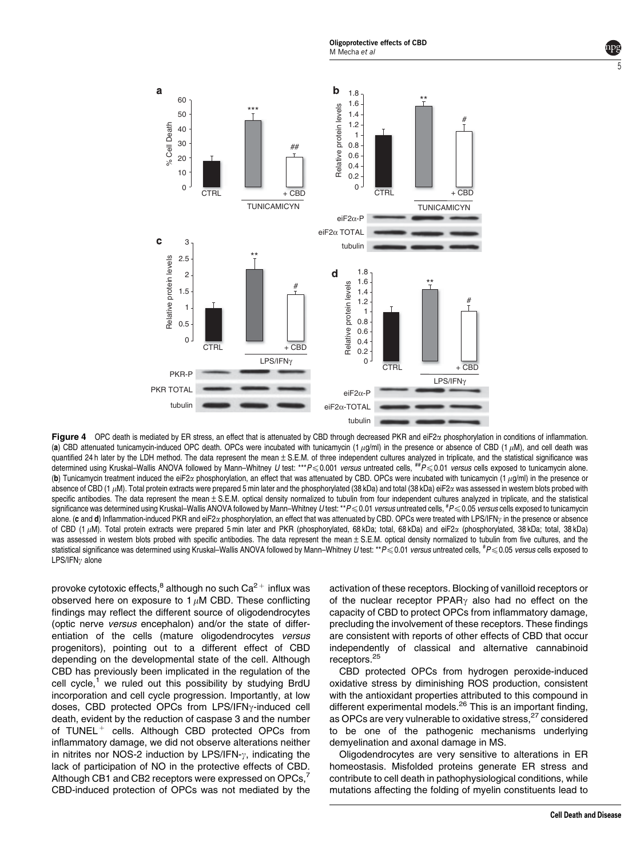

Figure 4 OPC death is mediated by ER stress, an effect that is attenuated by CBD through decreased PKR and eiF2 $\alpha$  phosphorylation in conditions of inflammation. (a) CBD attenuated tunicamycin-induced OPC death. OPCs were incubated with tunicamycin (1  $\mu$ g/ml) in the presence or absence of CBD (1  $\mu$ M), and cell death was quantified 24 h later by the LDH method. The data represent the mean ± S.E.M. of three independent cultures analyzed in triplicate, and the statistical significance was determined using Kruskal–Wallis ANOVA followed by Mann–Whitney U test: \*\*\*P < 0.001 versus untreated cells,  $^{++}P$  < 0.01 versus cells exposed to tunicamycin alone. (b) Tunicamycin treatment induced the eiF2 $\alpha$  phosphorylation, an effect that was attenuated by CBD. OPCs were incubated with tunicamycin (1  $\mu$ g/ml) in the presence or absence of CBD (1  $\mu$ M). Total protein extracts were prepared 5 min later and the phosphorylated (38 kDa) and total (38 kDa) eiF2 $\alpha$  was assessed in western blots probed with specific antibodies. The data represent the mean $\pm$  S.E.M. optical density normalized to tubulin from four independent cultures analyzed in triplicate, and the statistical significance was determined using Kruskal–Wallis ANOVA followed by Mann–Whitney *U* test: \*\*P<0.01 *versus* untreated cells, <sup>#</sup>P<0.05 *versus* cells exposed to tunicamycin alone. (c and d) Inflammation-induced PKR and eiF2 $\alpha$  phosphorylation, an effect that was attenuated by CBD. OPCs were treated with LPS/IFN<sub>2</sub> in the presence or absence of CBD (1  $\mu$ M). Total protein extracts were prepared 5 min later and PKR (phosphorylated, 68 kDa; total, 68 kDa) and eiF2 $\alpha$  (phosphorylated, 38 kDa; total, 38 kDa) was assessed in western blots probed with specific antibodies. The data represent the mean  $\pm$  S.E.M. optical density normalized to tubulin from five cultures, and the statistical significance was determined using Kruskal–Wallis ANOVA followed by Mann–Whitney *U* test: \*\*P<0.01 versus untreated cells, <sup>#</sup>P<0.05 versus cells exposed to  $LPS/IFNv$  alone

provoke cytotoxic effects, $^8$  although no such Ca $^{\mathrm{2+}}$  influx was observed here on exposure to  $1 \mu$ M CBD. These conflicting findings may reflect the different source of oligodendrocytes (optic nerve versus encephalon) and/or the state of differentiation of the cells (mature oligodendrocytes versus progenitors), pointing out to a different effect of CBD depending on the developmental state of the cell. Although CBD has previously been implicated in the regulation of the cell cycle, $1$  we ruled out this possibility by studying BrdU incorporation and cell cycle progression. Importantly, at low doses, CBD protected OPCs from LPS/IFN<sub>Y</sub>-induced cell death, evident by the reduction of caspase 3 and the number of TUNEL<sup>+</sup> cells. Although CBD protected OPCs from inflammatory damage, we did not observe alterations neither in nitrites nor NOS-2 induction by LPS/IFN- $\gamma$ , indicating the lack of participation of NO in the protective effects of CBD. Although CB1 and CB2 receptors were expressed on OPCs, CBD-induced protection of OPCs was not mediated by the

activation of these receptors. Blocking of vanilloid receptors or of the nuclear receptor  $PPAR<sub>\gamma</sub>$  also had no effect on the capacity of CBD to protect OPCs from inflammatory damage, precluding the involvement of these receptors. These findings are consistent with reports of other effects of CBD that occur independently of classical and alternative cannabinoid receptors.<sup>25</sup>

CBD protected OPCs from hydrogen peroxide-induced oxidative stress by diminishing ROS production, consistent with the antioxidant properties attributed to this compound in different experimental models.<sup>26</sup> This is an important finding, as OPCs are very vulnerable to oxidative stress,<sup>27</sup> considered to be one of the pathogenic mechanisms underlying demyelination and axonal damage in MS.

Oligodendrocytes are very sensitive to alterations in ER homeostasis. Misfolded proteins generate ER stress and contribute to cell death in pathophysiological conditions, while mutations affecting the folding of myelin constituents lead to 5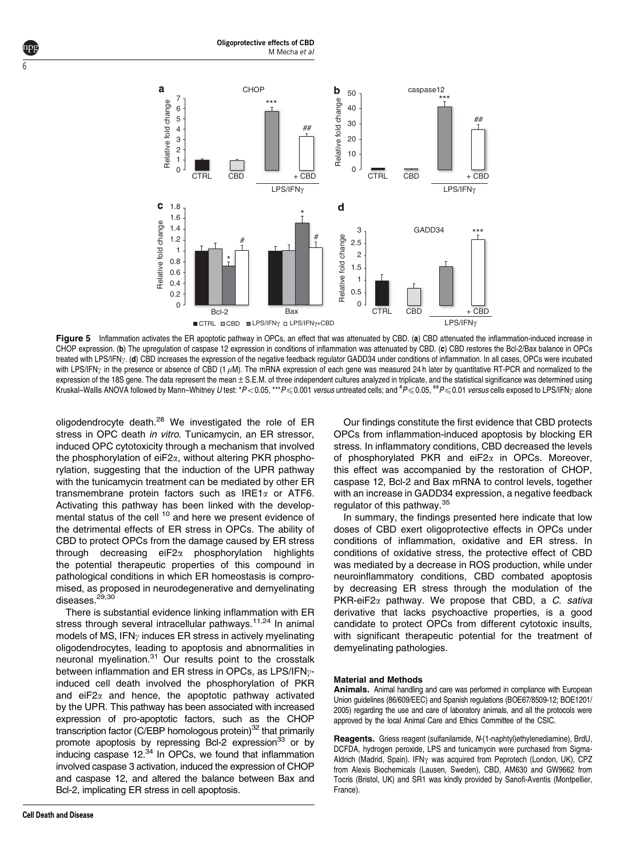

Oligoprotective effects of CBD

M Mecha et al

Figure 5 Inflammation activates the ER apoptotic pathway in OPCs, an effect that was attenuated by CBD, (a) CBD attenuated the inflammation-induced increase in CHOP expression. (b) The upregulation of caspase 12 expression in conditions of inflammation was attenuated by CBD. (c) CBD restores the Bcl-2/Bax balance in OPCs treated with LPS/IFNy. (d) CBD increases the expression of the negative feedback regulator GADD34 under conditions of inflammation. In all cases, OPCs were incubated with LPS/IFN<sub>2</sub> in the presence or absence of CBD (1  $\mu$ M). The mRNA expression of each gene was measured 24 h later by quantitative RT-PCR and normalized to the expression of the 18S gene. The data represent the mean  $\pm$  S.E.M. of three independent cultures analyzed in triplicate, and the statistical significance was determined using Kruskal–Wallis ANOVA followed by Mann–Whitney *U* test: \* $P\!<\!0.05,$  \*\*\* $P\!\leqslant\!0.001$  *versus* untreated cells; and  $^{\#}P\!\leqslant\!0.05,$  <sup>##</sup> $P\!\leqslant\!0.01$  *versus* cells exposed to LPS/IFN $\gamma$  alone

oligodendrocyte death.<sup>28</sup> We investigated the role of ER stress in OPC death in vitro. Tunicamycin, an ER stressor, induced OPC cytotoxicity through a mechanism that involved the phosphorylation of  $eiF2\alpha$ , without altering PKR phosphorylation, suggesting that the induction of the UPR pathway with the tunicamycin treatment can be mediated by other ER transmembrane protein factors such as  $IRE1\alpha$  or ATF6. Activating this pathway has been linked with the developmental status of the cell <sup>10</sup> and here we present evidence of the detrimental effects of ER stress in OPCs. The ability of CBD to protect OPCs from the damage caused by ER stress through decreasing eiF2a phosphorylation highlights the potential therapeutic properties of this compound in pathological conditions in which ER homeostasis is compromised, as proposed in neurodegenerative and demyelinating diseases.<sup>29,30</sup>

There is substantial evidence linking inflammation with ER stress through several intracellular pathways.<sup>11,24</sup> In animal models of MS. IFN $v$  induces ER stress in actively myelinating oligodendrocytes, leading to apoptosis and abnormalities in neuronal myelination.<sup>31</sup> Our results point to the crosstalk between inflammation and ER stress in OPCs, as LPS/IFN $\gamma$ induced cell death involved the phosphorylation of PKR and  $eiF2\alpha$  and hence, the apoptotic pathway activated by the UPR. This pathway has been associated with increased expression of pro-apoptotic factors, such as the CHOP transcription factor (C/EBP homologous protein) $32$  that primarily promote apoptosis by repressing Bcl-2 expression<sup>33</sup> or by inducing caspase  $12^{34}$  In OPCs, we found that inflammation involved caspase 3 activation, induced the expression of CHOP and caspase 12, and altered the balance between Bax and Bcl-2, implicating ER stress in cell apoptosis.

Our findings constitute the first evidence that CBD protects OPCs from inflammation-induced apoptosis by blocking ER stress. In inflammatory conditions, CBD decreased the levels of phosphorylated PKR and eiF $2\alpha$  in OPCs. Moreover, this effect was accompanied by the restoration of CHOP, caspase 12, Bcl-2 and Bax mRNA to control levels, together with an increase in GADD34 expression, a negative feedback regulator of this pathway.<sup>35</sup>

In summary, the findings presented here indicate that low doses of CBD exert oligoprotective effects in OPCs under conditions of inflammation, oxidative and ER stress. In conditions of oxidative stress, the protective effect of CBD was mediated by a decrease in ROS production, while under neuroinflammatory conditions, CBD combated apoptosis by decreasing ER stress through the modulation of the  $PKR-eiF2\alpha$  pathway. We propose that CBD, a C. sativa derivative that lacks psychoactive properties, is a good candidate to protect OPCs from different cytotoxic insults, with significant therapeutic potential for the treatment of demyelinating pathologies.

#### Material and Methods

Animals. Animal handling and care was performed in compliance with European Union guidelines (86/609/EEC) and Spanish regulations (BOE67/8509-12; BOE1201/ 2005) regarding the use and care of laboratory animals, and all the protocols were approved by the local Animal Care and Ethics Committee of the CSIC.

Reagents. Griess reagent (sulfanilamide, N-(1-naphtyl)ethylenediamine), BrdU, DCFDA, hydrogen peroxide, LPS and tunicamycin were purchased from Sigma-Aldrich (Madrid, Spain). IFN $\gamma$  was acquired from Peprotech (London, UK), CPZ from Alexis Biochemicals (Lausen, Sweden), CBD, AM630 and GW9662 from Tocris (Bristol, UK) and SR1 was kindly provided by Sanofi-Aventis (Montpellier, France).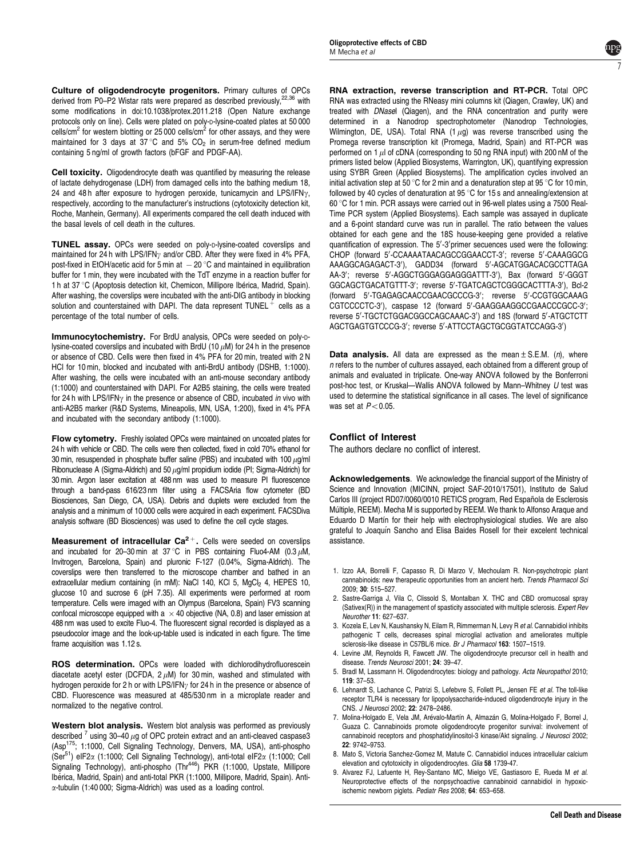Culture of oligodendrocyte progenitors. Primary cultures of OPCs derived from P0–P2 Wistar rats were prepared as described previously,<sup>22,36</sup> with some modifications in doi:10.1038/protex.2011.218 (Open Nature exchange protocols only on line). Cells were plated on poly-D-lysine-coated plates at 50 000 cells/cm<sup>2</sup> for western blotting or 25 000 cells/cm<sup>2</sup> for other assays, and they were maintained for 3 days at  $37^{\circ}$ C and 5%  $CO_{2}$  in serum-free defined medium containing 5 ng/ml of growth factors (bFGF and PDGF-AA).

Cell toxicity. Oligodendrocyte death was quantified by measuring the release of lactate dehydrogenase (LDH) from damaged cells into the bathing medium 18, 24 and 48 h after exposure to hydrogen peroxide, tunicamycin and LPS/IFN $\gamma$ , respectively, according to the manufacturer's instructions (cytotoxicity detection kit, Roche, Manhein, Germany). All experiments compared the cell death induced with the basal levels of cell death in the cultures.

TUNEL assay. OPCs were seeded on poly-p-lysine-coated coverslips and maintained for 24 h with LPS/IFN<sub> $\gamma$ </sub> and/or CBD. After they were fixed in 4% PFA, post-fixed in EtOH/acetic acid for 5 min at  $-20$  °C and maintained in equilibration buffer for 1 min, they were incubated with the TdT enzyme in a reaction buffer for 1 h at 37 °C (Apoptosis detection kit, Chemicon, Millipore Ibérica, Madrid, Spain). After washing, the coverslips were incubated with the anti-DIG antibody in blocking solution and counterstained with DAPI. The data represent  $\texttt{TUNEL}^+$  cells as a percentage of the total number of cells.

Immunocytochemistry. For BrdU analysis, OPCs were seeded on poly-plysine-coated coverslips and incubated with BrdU (10  $\mu$ M) for 24 h in the presence or absence of CBD. Cells were then fixed in 4% PFA for 20 min, treated with 2 N HCl for 10 min, blocked and incubated with anti-BrdU antibody (DSHB, 1:1000). After washing, the cells were incubated with an anti-mouse secondary antibody (1:1000) and counterstained with DAPI. For A2B5 staining, the cells were treated for 24 h with LPS/IFN $\gamma$  in the presence or absence of CBD, incubated in vivo with anti-A2B5 marker (R&D Systems, Mineapolis, MN, USA, 1:200), fixed in 4% PFA and incubated with the secondary antibody (1:1000).

Flow cytometry. Freshly isolated OPCs were maintained on uncoated plates for 24 h with vehicle or CBD. The cells were then collected, fixed in cold 70% ethanol for 30 min, resuspended in phosphate buffer saline (PBS) and incubated with 100  $\mu$ q/ml Ribonuclease A (Sigma-Aldrich) and 50  $\mu$ g/ml propidium iodide (PI; Sigma-Aldrich) for 30 min. Argon laser excitation at 488 nm was used to measure PI fluorescence through a band-pass 616/23 nm filter using a FACSAria flow cytometer (BD Biosciences, San Diego, CA, USA). Debris and duplets were excluded from the analysis and a minimum of 10 000 cells were acquired in each experiment. FACSDiva analysis software (BD Biosciences) was used to define the cell cycle stages.

**Measurement of intracellular Ca** $2^+$ . Cells were seeded on coverslips and incubated for 20-30 min at 37 °C in PBS containing Fluo4-AM (0.3  $\mu$ M, Invitrogen, Barcelona, Spain) and pluronic F-127 (0.04%, Sigma-Aldrich). The coverslips were then transferred to the microscope chamber and bathed in an extracellular medium containing (in mM): NaCl 140, KCl 5, MgCl<sub>2</sub> 4, HEPES 10, glucose 10 and sucrose 6 (pH 7.35). All experiments were performed at room temperature. Cells were imaged with an Olympus (Barcelona, Spain) FV3 scanning confocal microscope equipped with a  $\times$  40 objective (NA, 0.8) and laser emission at 488 nm was used to excite Fluo-4. The fluorescent signal recorded is displayed as a pseudocolor image and the look-up-table used is indicated in each figure. The time frame acquisition was 1.12 s.

ROS determination. OPCs were loaded with dichlorodihydrofluorescein diacetate acetyl ester (DCFDA,  $2 \mu$ M) for 30 min, washed and stimulated with hydrogen peroxide for 2 h or with LPS/IFN<sub>v</sub> for 24 h in the presence or absence of CBD. Fluorescence was measured at 485/530 nm in a microplate reader and normalized to the negative control.

Western blot analysis. Western blot analysis was performed as previously described  $^7$  using 30-40  $\mu$ g of OPC protein extract and an anti-cleaved caspase3 (Asp175; 1:1000, Cell Signaling Technology, Denvers, MA, USA), anti-phospho (Ser<sup>51</sup>) eIF2 $\alpha$  (1:1000; Cell Signaling Technology), anti-total eIF2 $\alpha$  (1:1000; Cell Signaling Technology), anti-phospho (Thr<sup>446</sup>) PKR (1:1000, Upstate, Millipore Ibérica, Madrid, Spain) and anti-total PKR (1:1000, Millipore, Madrid, Spain). Antia-tubulin (1:40 000; Sigma-Aldrich) was used as a loading control.

RNA extraction, reverse transcription and RT-PCR. Total OPC RNA was extracted using the RNeasy mini columns kit (Qiagen, Crawley, UK) and treated with DNasel (Qiagen), and the RNA concentration and purity were determined in a Nanodrop spectrophotometer (Nanodrop Technologies, Wilmington, DE, USA). Total RNA  $(1 \mu q)$  was reverse transcribed using the Promega reverse transcription kit (Promega, Madrid, Spain) and RT-PCR was performed on 1  $\mu$  of cDNA (corresponding to 50 ng RNA input) with 200 nM of the primers listed below (Applied Biosystems, Warrington, UK), quantifying expression using SYBR Green (Applied Biosystems). The amplification cycles involved an initial activation step at 50 °C for 2 min and a denaturation step at 95 °C for 10 min, followed by 40 cycles of denaturation at  $95^{\circ}$ C for 15 s and annealing/extension at 60 °C for 1 min. PCR assays were carried out in 96-well plates using a 7500 Real-Time PCR system (Applied Biosystems). Each sample was assayed in duplicate and a 6-point standard curve was run in parallel. The ratio between the values obtained for each gene and the 18S house-keeping gene provided a relative quantification of expression. The 5'-3' primer secuences used were the following: CHOP (forward 5'-CCAAAATAACAGCCGGAACCT-3'; reverse 5'-CAAAGGCG AAAGGCAGAGACT-3'), GADD34 (forward 5'-AGCATGGACACGCCTTAGA AA-3'; reverse 5'-AGGCTGGGAGGAGGGATTT-3'), Bax (forward 5'-GGGT GGCAGCTGACATGTTT-3'; reverse 5'-TGATCAGCTCGGGCACTTTA-3'), Bcl-2 (forward 5'-TGAGAGCAACCGAACGCCCG-3'; reverse 5'-CCGTGGCAAAG CGTCCCCTC-3'), caspase 12 (forward 5'-GAAGGAAGGCCGAACCCGCC-3'; reverse 5'-TGCTCTGGACGGCCAGCAAAC-3') and 18S (forward 5'-ATGCTCTT AGCTGAGTGTCCCG-3'; reverse 5'-ATTCCTAGCTGCGGTATCCAGG-3')

**Data analysis.** All data are expressed as the mean  $\pm$  S.E.M. (n), where n refers to the number of cultures assayed, each obtained from a different group of animals and evaluated in triplicate. One-way ANOVA followed by the Bonferroni post-hoc test, or Kruskal—Wallis ANOVA followed by Mann–Whitney U test was used to determine the statistical significance in all cases. The level of significance was set at  $P < 0.05$ .

# Conflict of Interest

The authors declare no conflict of interest.

Acknowledgements. We acknowledge the financial support of the Ministry of Science and Innovation (MICINN, project SAF-2010/17501), Instituto de Salud Carlos III (project RD07/0060/0010 RETICS program, Red Española de Esclerosis Múltiple, REEM). Mecha M is supported by REEM. We thank to Alfonso Araque and Eduardo D Martín for their help with electrophysiological studies. We are also grateful to Joaquı´n Sancho and Elisa Baides Rosell for their excelent technical assistance.

- 1. Izzo AA, Borrelli F, Capasso R, Di Marzo V, Mechoulam R. Non-psychotropic plant cannabinoids: new therapeutic opportunities from an ancient herb. Trends Pharmacol Sci 2009; 30: 515–527.
- 2. Sastre-Garriga J, Vila C, Clissold S, Montalban X. THC and CBD oromucosal spray (Sativex(R)) in the management of spasticity associated with multiple sclerosis. Expert Rev Neurother 11: 627–637.
- 3. Kozela E, Lev N, Kaushansky N, Eilam R, Rimmerman N, Levy R et al. Cannabidiol inhibits pathogenic T cells, decreases spinal microglial activation and ameliorates multiple sclerosis-like disease in C57BL/6 mice. Br J Pharmacol 163: 1507–1519.
- 4. Levine JM, Reynolds R, Fawcett JW. The oligodendrocyte precursor cell in health and disease. Trends Neurosci 2001; 24: 39–47.
- 5. Bradl M, Lassmann H. Oligodendrocytes: biology and pathology. Acta Neuropathol 2010; 119: 37–53.
- 6. Lehnardt S, Lachance C, Patrizi S, Lefebvre S, Follett PL, Jensen FE et al. The toll-like receptor TLR4 is necessary for lipopolysaccharide-induced oligodendrocyte injury in the CNS. J Neurosci 2002; 22: 2478–2486.
- 7. Molina-Holgado E, Vela JM, Arévalo-Martín A, Almazán G, Molina-Holgado F, Borrel J, Guaza C. Cannabinoids promote oligodendrocyte progenitor survival: involvement of cannabinoid receptors and phosphatidylinositol-3 kinase/Akt signaling. J Neurosci 2002; 22: 9742–9753.
- 8. Mato S, Victoria Sanchez-Gomez M, Matute C. Cannabidiol induces intracellular calcium elevation and cytotoxicity in oligodendrocytes. Glia 58 1739-47.
- 9. Alvarez FJ, Lafuente H, Rey-Santano MC, Mielgo VE, Gastiasoro E, Rueda M et al. Neuroprotective effects of the nonpsychoactive cannabinoid cannabidiol in hypoxicischemic newborn piglets. Pediatr Res 2008; 64: 653–658.

7